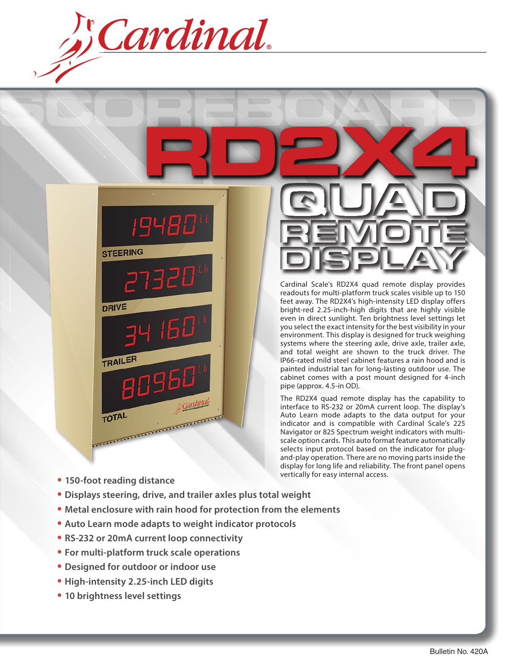Cardinal.

1948L **STEERING DRIVE** TRAILER 8096 TOTAL TOTAL<br>
TOTAL

Cardinal Scale's RD2X4 quad remote display provides readouts for multi-platform truck scales visible up to 150 feet away. The RD2X4's high-intensity LED display offers bright-red 2.25-inch-high digits that are highly visible even in direct sunlight. Ten brightness level settings let you select the exact intensity for the best visibility in your environment. This display is designed for truck weighing systems where the steering axle, drive axle, trailer axle, and total weight are shown to the truck driver. The IP66-rated mild steel cabinet features a rain hood and is painted industrial tan for long-lasting outdoor use. The cabinet comes with a post mount designed for 4-inch pipe (approx. 4.5-in OD).

The RD2X4 quad remote display has the capability to interface to RS-232 or 20mA current loop. The display's Auto Learn mode adapts to the data output for your indicator and is compatible with Cardinal Scale's 225 Navigator or 825 Spectrum weight indicators with multiscale option cards. This auto format feature automatically selects input protocol based on the indicator for plugand-play operation. There are no moving parts inside the display for long life and reliability. The front panel opens vertically for easy internal access.

- **• 150-foot reading distance**
- **• Displays steering, drive, and trailer axles plus total weight**
- **• Metal enclosure with rain hood for protection from the elements**
- **• Auto Learn mode adapts to weight indicator protocols**
- **• RS-232 or 20mA current loop connectivity**
- **• For multi-platform truck scale operations**
- **• Designed for outdoor or indoor use**
- **• High-intensity 2.25-inch LED digits**
- **• 10 brightness level settings**